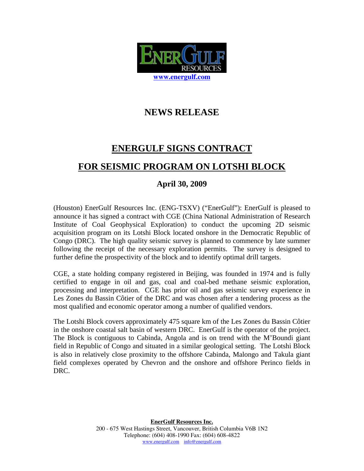

## **NEWS RELEASE**

## **ENERGULF SIGNS CONTRACT FOR SEISMIC PROGRAM ON LOTSHI BLOCK**

## **April 30, 2009**

(Houston) EnerGulf Resources Inc. (ENG-TSXV) ("EnerGulf"): EnerGulf is pleased to announce it has signed a contract with CGE (China National Administration of Research Institute of Coal Geophysical Exploration) to conduct the upcoming 2D seismic acquisition program on its Lotshi Block located onshore in the Democratic Republic of Congo (DRC). The high quality seismic survey is planned to commence by late summer following the receipt of the necessary exploration permits. The survey is designed to further define the prospectivity of the block and to identify optimal drill targets.

CGE, a state holding company registered in Beijing, was founded in 1974 and is fully certified to engage in oil and gas, coal and coal-bed methane seismic exploration, processing and interpretation. CGE has prior oil and gas seismic survey experience in Les Zones du Bassin Côtier of the DRC and was chosen after a tendering process as the most qualified and economic operator among a number of qualified vendors.

The Lotshi Block covers approximately 475 square km of the Les Zones du Bassin Côtier in the onshore coastal salt basin of western DRC. EnerGulf is the operator of the project. The Block is contiguous to Cabinda, Angola and is on trend with the M'Boundi giant field in Republic of Congo and situated in a similar geological setting. The Lotshi Block is also in relatively close proximity to the offshore Cabinda, Malongo and Takula giant field complexes operated by Chevron and the onshore and offshore Perinco fields in DRC.